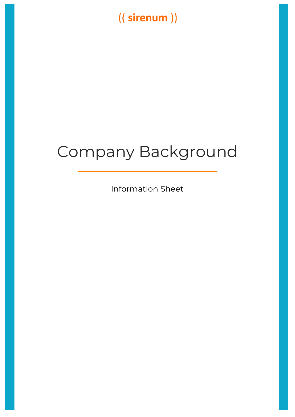## ((sirenum))

# Company Background

Information Sheet